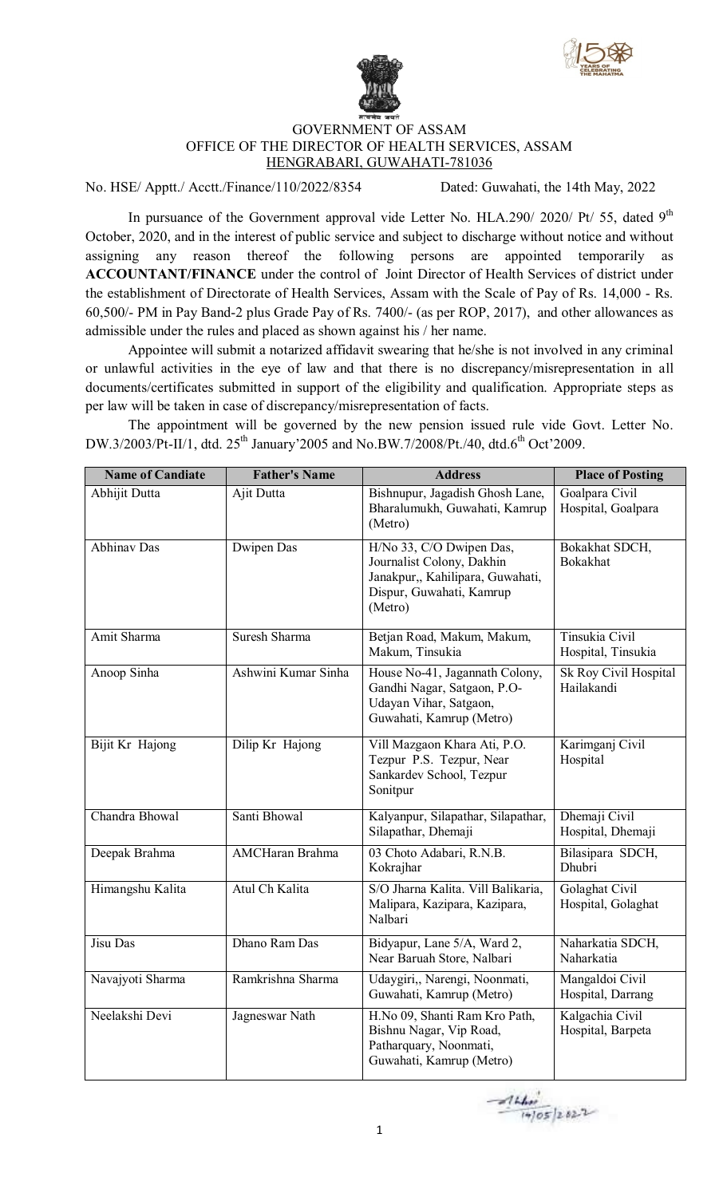



## GOVERNMENT OF ASSAM OFFICE OF THE DIRECTOR OF HEALTH SERVICES, ASSAM HENGRABARI, GUWAHATI-781036

No. HSE/ Apptt./ Acctt./Finance/110/2022/8354 Dated: Guwahati, the 14th May, 2022

In pursuance of the Government approval vide Letter No. HLA.290/ 2020/ Pt/ 55, dated  $9<sup>th</sup>$ October, 2020, and in the interest of public service and subject to discharge without notice and without assigning any reason thereof the following persons are appointed temporarily as **ACCOUNTANT/FINANCE** under the control of Joint Director of Health Services of district under the establishment of Directorate of Health Services, Assam with the Scale of Pay of Rs. 14,000 - Rs. 60,500/- PM in Pay Band-2 plus Grade Pay of Rs. 7400/- (as per ROP, 2017), and other allowances as admissible under the rules and placed as shown against his / her name.

Appointee will submit a notarized affidavit swearing that he/she is not involved in any criminal or unlawful activities in the eye of law and that there is no discrepancy/misrepresentation in all documents/certificates submitted in support of the eligibility and qualification. Appropriate steps as per law will be taken in case of discrepancy/misrepresentation of facts.

The appointment will be governed by the new pension issued rule vide Govt. Letter No. DW.3/2003/Pt-II/1, dtd. 25<sup>th</sup> January'2005 and No.BW.7/2008/Pt./40, dtd.6<sup>th</sup> Oct'2009.

| <b>Name of Candiate</b> | <b>Father's Name</b> | <b>Address</b>                                                                                                                   | <b>Place of Posting</b>              |
|-------------------------|----------------------|----------------------------------------------------------------------------------------------------------------------------------|--------------------------------------|
| Abhijit Dutta           | Ajit Dutta           | Bishnupur, Jagadish Ghosh Lane,<br>Bharalumukh, Guwahati, Kamrup<br>(Metro)                                                      | Goalpara Civil<br>Hospital, Goalpara |
| <b>Abhinav Das</b>      | Dwipen Das           | H/No 33, C/O Dwipen Das,<br>Journalist Colony, Dakhin<br>Janakpur,, Kahilipara, Guwahati,<br>Dispur, Guwahati, Kamrup<br>(Metro) | Bokakhat SDCH,<br><b>Bokakhat</b>    |
| Amit Sharma             | Suresh Sharma        | Betjan Road, Makum, Makum,<br>Makum, Tinsukia                                                                                    | Tinsukia Civil<br>Hospital, Tinsukia |
| Anoop Sinha             | Ashwini Kumar Sinha  | House No-41, Jagannath Colony,<br>Gandhi Nagar, Satgaon, P.O-<br>Udayan Vihar, Satgaon,<br>Guwahati, Kamrup (Metro)              | Sk Roy Civil Hospital<br>Hailakandi  |
| Bijit Kr Hajong         | Dilip Kr Hajong      | Vill Mazgaon Khara Ati, P.O.<br>Tezpur P.S. Tezpur, Near<br>Sankardev School, Tezpur<br>Sonitpur                                 | Karimganj Civil<br>Hospital          |
| Chandra Bhowal          | Santi Bhowal         | Kalyanpur, Silapathar, Silapathar,<br>Silapathar, Dhemaji                                                                        | Dhemaji Civil<br>Hospital, Dhemaji   |
| Deepak Brahma           | AMCHaran Brahma      | 03 Choto Adabari, R.N.B.<br>Kokrajhar                                                                                            | Bilasipara SDCH,<br>Dhubri           |
| Himangshu Kalita        | Atul Ch Kalita       | S/O Jharna Kalita. Vill Balikaria,<br>Malipara, Kazipara, Kazipara,<br>Nalbari                                                   | Golaghat Civil<br>Hospital, Golaghat |
| Jisu Das                | Dhano Ram Das        | Bidyapur, Lane 5/A, Ward 2,<br>Near Baruah Store, Nalbari                                                                        | Naharkatia SDCH,<br>Naharkatia       |
| Navajyoti Sharma        | Ramkrishna Sharma    | Udaygiri,, Narengi, Noonmati,<br>Guwahati, Kamrup (Metro)                                                                        | Mangaldoi Civil<br>Hospital, Darrang |
| Neelakshi Devi          | Jagneswar Nath       | H.No 09, Shanti Ram Kro Path,<br>Bishnu Nagar, Vip Road,<br>Patharquary, Noonmati,<br>Guwahati, Kamrup (Metro)                   | Kalgachia Civil<br>Hospital, Barpeta |

 $\frac{1660}{14/05}$  2022